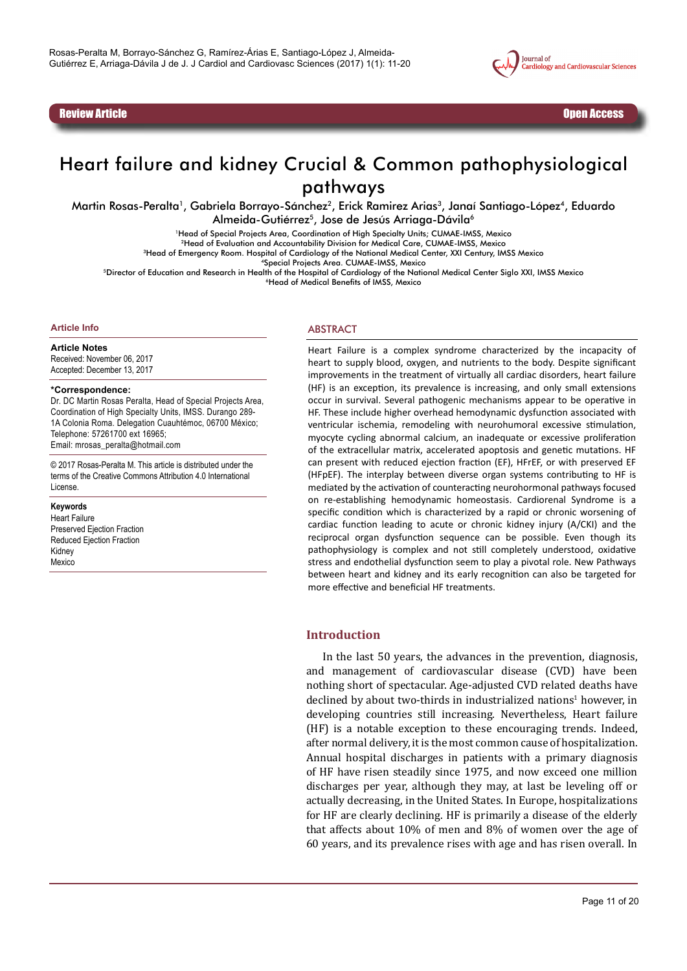Review Article Open Access **Access 2008 Contract Contract Contract Contract Contract Contract Contract Contract Contract Contract Contract Contract Contract Contract Contract Contract Contract Contract Contract Contract** 



# Heart failure and kidney Crucial & Common pathophysiological pathways

Martin Rosas-Peralta<sup>1</sup>, Gabriela Borrayo-Sánchez<sup>2</sup>, Erick Ramirez Arias<sup>3</sup>, Janaí Santiago-López<sup>4</sup>, Eduardo Almeida-Gutiérrez<sup>5</sup>, Jose de Jesús Arriaga-Dávila<sup>6</sup>

1Head of Special Projects Area, Coordination of High Specialty Units; CUMAE-IMSS, Mexico

2Head of Evaluation and Accountability Division for Medical Care, CUMAE-IMSS, Mexico

<sup>3</sup>Head of Emergency Room. Hospital of Cardiology of the National Medical Center, XXI Century, IMSS Mexico

4Special Projects Area. CUMAE-IMSS, Mexico

5Director of Education and Research in Health of the Hospital of Cardiology of the National Medical Center Siglo XXI, IMSS Mexico 6Head of Medical Benefits of IMSS, Mexico

#### **Article Info**

**Article Notes** Received: November 06, 2017

Accepted: December 13, 2017

#### **\*Correspondence:**

Dr. DC Martin Rosas Peralta, Head of Special Projects Area, Coordination of High Specialty Units, IMSS. Durango 289- 1A Colonia Roma. Delegation Cuauhtémoc, 06700 México; Telephone: 57261700 ext 16965; Email: mrosas\_peralta@hotmail.com

© 2017 Rosas-Peralta M. This article is distributed under the terms of the Creative Commons Attribution 4.0 International License.

#### **Keywords**

Heart Failure Preserved Ejection Fraction Reduced Ejection Fraction Kidney Mexico

#### ABSTRACT

Heart Failure is a complex syndrome characterized by the incapacity of heart to supply blood, oxygen, and nutrients to the body. Despite significant improvements in the treatment of virtually all cardiac disorders, heart failure (HF) is an exception, its prevalence is increasing, and only small extensions occur in survival. Several pathogenic mechanisms appear to be operative in HF. These include higher overhead hemodynamic dysfunction associated with ventricular ischemia, remodeling with neurohumoral excessive stimulation, myocyte cycling abnormal calcium, an inadequate or excessive proliferation of the extracellular matrix, accelerated apoptosis and genetic mutations. HF can present with reduced ejection fraction (EF), HFrEF, or with preserved EF (HFpEF). The interplay between diverse organ systems contributing to HF is mediated by the activation of counteracting neurohormonal pathways focused on re-establishing hemodynamic homeostasis. Cardiorenal Syndrome is a specific condition which is characterized by a rapid or chronic worsening of cardiac function leading to acute or chronic kidney injury (A/CKI) and the reciprocal organ dysfunction sequence can be possible. Even though its pathophysiology is complex and not still completely understood, oxidative stress and endothelial dysfunction seem to play a pivotal role. New Pathways between heart and kidney and its early recognition can also be targeted for more effective and beneficial HF treatments.

#### **Introduction**

In the last 50 years, the advances in the prevention, diagnosis, and management of cardiovascular disease (CVD) have been nothing short of spectacular. Age-adjusted CVD related deaths have declined by about two-thirds in industrialized nations<sup>1</sup> however, in developing countries still increasing. Nevertheless, Heart failure (HF) is a notable exception to these encouraging trends. Indeed, after normal delivery, it is the most common cause of hospitalization. Annual hospital discharges in patients with a primary diagnosis of HF have risen steadily since 1975, and now exceed one million discharges per year, although they may, at last be leveling off or actually decreasing, in the United States. In Europe, hospitalizations for HF are clearly declining. HF is primarily a disease of the elderly that affects about 10% of men and 8% of women over the age of 60 years, and its prevalence rises with age and has risen overall. In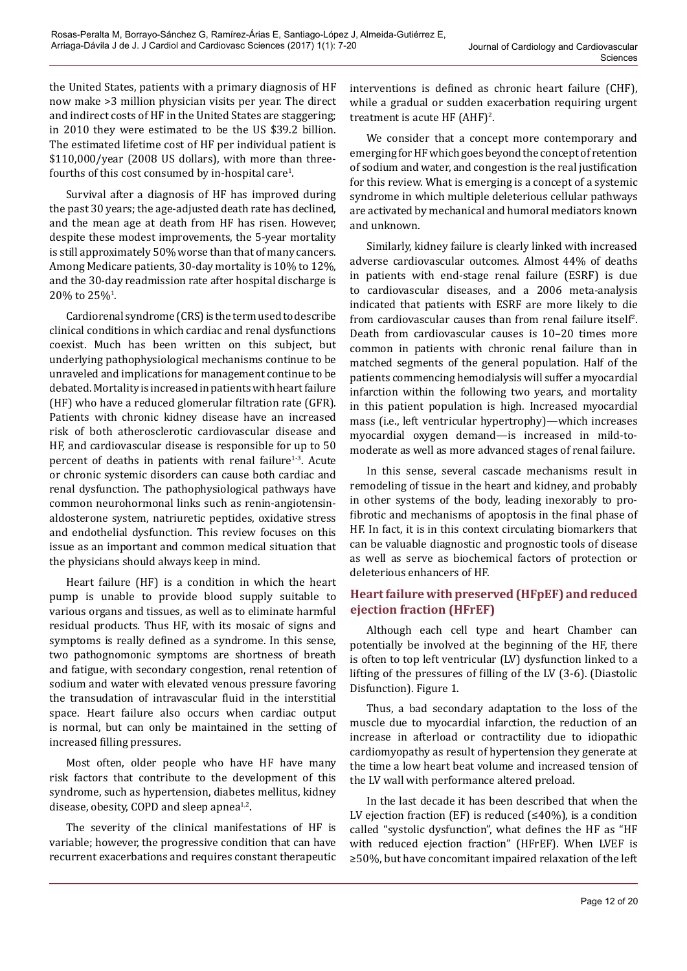the United States, patients with a primary diagnosis of HF now make >3 million physician visits per year. The direct and indirect costs of HF in the United States are staggering; in 2010 they were estimated to be the US \$39.2 billion. The estimated lifetime cost of HF per individual patient is \$110,000/year (2008 US dollars), with more than threefourths of this cost consumed by in-hospital care<sup>1</sup>.

Survival after a diagnosis of HF has improved during the past 30 years; the age-adjusted death rate has declined, and the mean age at death from HF has risen. However, despite these modest improvements, the 5-year mortality is still approximately 50% worse than that of many cancers. Among Medicare patients, 30-day mortality is 10% to 12%, and the 30-day readmission rate after hospital discharge is  $20\%$  to  $25\%$ <sup>1</sup>.

Cardiorenal syndrome (CRS) is the term used to describe clinical conditions in which cardiac and renal dysfunctions coexist. Much has been written on this subject, but underlying pathophysiological mechanisms continue to be unraveled and implications for management continue to be debated. Mortality is increased in patients with heart failure (HF) who have a reduced glomerular filtration rate (GFR). Patients with chronic kidney disease have an increased risk of both atherosclerotic cardiovascular disease and HF, and cardiovascular disease is responsible for up to 50 percent of deaths in patients with renal failure<sup>1-3</sup>. Acute or chronic systemic disorders can cause both cardiac and renal dysfunction. The pathophysiological pathways have common neurohormonal links such as renin-angiotensinaldosterone system, natriuretic peptides, oxidative stress and endothelial dysfunction. This review focuses on this issue as an important and common medical situation that the physicians should always keep in mind.

Heart failure (HF) is a condition in which the heart pump is unable to provide blood supply suitable to various organs and tissues, as well as to eliminate harmful residual products. Thus HF, with its mosaic of signs and symptoms is really defined as a syndrome. In this sense, two pathognomonic symptoms are shortness of breath and fatigue, with secondary congestion, renal retention of sodium and water with elevated venous pressure favoring the transudation of intravascular fluid in the interstitial space. Heart failure also occurs when cardiac output is normal, but can only be maintained in the setting of increased filling pressures.

Most often, older people who have HF have many risk factors that contribute to the development of this syndrome, such as hypertension, diabetes mellitus, kidney disease, obesity, COPD and sleep apnea $^{1,2}$ .

The severity of the clinical manifestations of HF is variable; however, the progressive condition that can have recurrent exacerbations and requires constant therapeutic interventions is defined as chronic heart failure (CHF), while a gradual or sudden exacerbation requiring urgent treatment is acute  $HF(AHF)^2$ .

We consider that a concept more contemporary and emerging for HF which goes beyond the concept of retention of sodium and water, and congestion is the real justification for this review. What is emerging is a concept of a systemic syndrome in which multiple deleterious cellular pathways are activated by mechanical and humoral mediators known and unknown.

Similarly, kidney failure is clearly linked with increased adverse cardiovascular outcomes. Almost 44% of deaths in patients with end-stage renal failure (ESRF) is due to cardiovascular diseases, and a 2006 meta-analysis indicated that patients with ESRF are more likely to die from cardiovascular causes than from renal failure itself<sup>2</sup>. Death from cardiovascular causes is 10–20 times more common in patients with chronic renal failure than in matched segments of the general population. Half of the patients commencing hemodialysis will suffer a myocardial infarction within the following two years, and mortality in this patient population is high. Increased myocardial mass (i.e., left ventricular hypertrophy)—which increases myocardial oxygen demand—is increased in mild-tomoderate as well as more advanced stages of renal failure.

In this sense, several cascade mechanisms result in remodeling of tissue in the heart and kidney, and probably in other systems of the body, leading inexorably to profibrotic and mechanisms of apoptosis in the final phase of HF. In fact, it is in this context circulating biomarkers that can be valuable diagnostic and prognostic tools of disease as well as serve as biochemical factors of protection or deleterious enhancers of HF.

# **Heart failure with preserved (HFpEF) and reduced ejection fraction (HFrEF)**

Although each cell type and heart Chamber can potentially be involved at the beginning of the HF, there is often to top left ventricular (LV) dysfunction linked to a lifting of the pressures of filling of the LV (3-6). (Diastolic Disfunction). Figure 1.

Thus, a bad secondary adaptation to the loss of the muscle due to myocardial infarction, the reduction of an increase in afterload or contractility due to idiopathic cardiomyopathy as result of hypertension they generate at the time a low heart beat volume and increased tension of the LV wall with performance altered preload.

In the last decade it has been described that when the LV ejection fraction (EF) is reduced  $($ ≤40%), is a condition called "systolic dysfunction", what defines the HF as "HF with reduced ejection fraction" (HFrEF). When LVEF is ≥50%, but have concomitant impaired relaxation of the left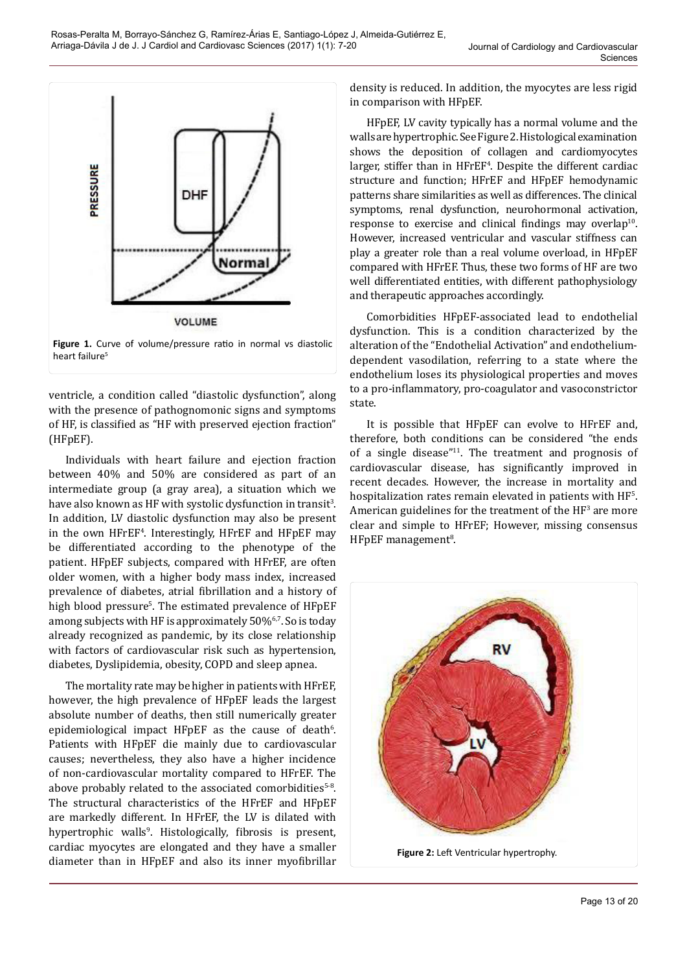

heart failure<sup>5</sup>

ventricle, a condition called "diastolic dysfunction", along with the presence of pathognomonic signs and symptoms of HF, is classified as "HF with preserved ejection fraction" (HFpEF).

Individuals with heart failure and ejection fraction between 40% and 50% are considered as part of an intermediate group (a gray area), a situation which we have also known as HF with systolic dysfunction in transit $^3$ . In addition, LV diastolic dysfunction may also be present in the own HFrEF<sup>4</sup> . Interestingly, HFrEF and HFpEF may be differentiated according to the phenotype of the patient. HFpEF subjects, compared with HFrEF, are often older women, with a higher body mass index, increased prevalence of diabetes, atrial fibrillation and a history of high blood pressure<sup>5</sup>. The estimated prevalence of HFpEF among subjects with HF is approximately 50%6,7. So is today already recognized as pandemic, by its close relationship with factors of cardiovascular risk such as hypertension, diabetes, Dyslipidemia, obesity, COPD and sleep apnea.

The mortality rate may be higher in patients with HFrEF, however, the high prevalence of HFpEF leads the largest absolute number of deaths, then still numerically greater epidemiological impact  $HFpEF$  as the cause of death $6$ . Patients with HFpEF die mainly due to cardiovascular causes; nevertheless, they also have a higher incidence of non-cardiovascular mortality compared to HFrEF. The above probably related to the associated comorbidities<sup>5-8</sup>. The structural characteristics of the HFrEF and HFpEF are markedly different. In HFrEF, the LV is dilated with hypertrophic walls<sup>9</sup>. Histologically, fibrosis is present, cardiac myocytes are elongated and they have a smaller diameter than in HFpEF and also its inner myofibrillar density is reduced. In addition, the myocytes are less rigid in comparison with HFpEF.

HFpEF, LV cavity typically has a normal volume and the walls are hypertrophic. See Figure 2. Histological examination shows the deposition of collagen and cardiomyocytes larger, stiffer than in HFrEF<sup>4</sup>. Despite the different cardiac structure and function; HFrEF and HFpEF hemodynamic patterns share similarities as well as differences. The clinical symptoms, renal dysfunction, neurohormonal activation, response to exercise and clinical findings may overlap<sup>10</sup>. However, increased ventricular and vascular stiffness can play a greater role than a real volume overload, in HFpEF compared with HFrEF. Thus, these two forms of HF are two well differentiated entities, with different pathophysiology and therapeutic approaches accordingly.

Comorbidities HFpEF-associated lead to endothelial dysfunction. This is a condition characterized by the alteration of the "Endothelial Activation" and endotheliumdependent vasodilation, referring to a state where the endothelium loses its physiological properties and moves to a pro-inflammatory, pro-coagulator and vasoconstrictor state.

It is possible that HFpEF can evolve to HFrEF and, therefore, both conditions can be considered "the ends of a single disease" $11$ . The treatment and prognosis of cardiovascular disease, has significantly improved in recent decades. However, the increase in mortality and hospitalization rates remain elevated in patients with HF<sup>5</sup>. American guidelines for the treatment of the HF<sup>3</sup> are more clear and simple to HFrEF; However, missing consensus HFpEF management<sup>8</sup>.

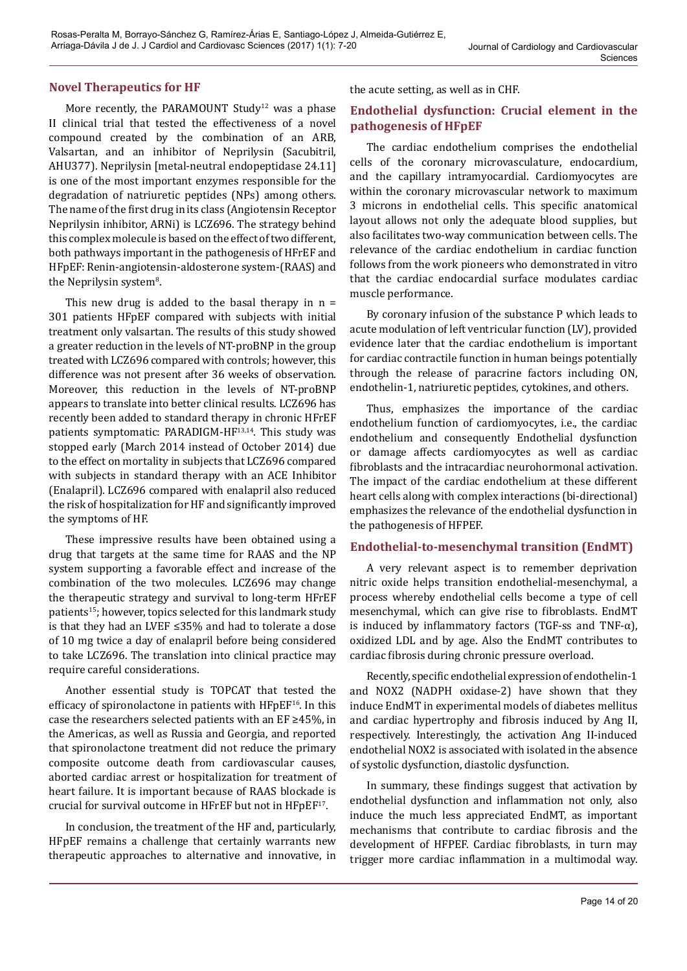### **Novel Therapeutics for HF**

More recently, the PARAMOUNT Study<sup>12</sup> was a phase II clinical trial that tested the effectiveness of a novel compound created by the combination of an ARB, Valsartan, and an inhibitor of Neprilysin (Sacubitril, AHU377). Neprilysin [metal-neutral endopeptidase 24.11] is one of the most important enzymes responsible for the degradation of natriuretic peptides (NPs) among others. The name of the first drug in its class (Angiotensin Receptor Neprilysin inhibitor, ARNi) is LCZ696. The strategy behind this complex molecule is based on the effect of two different, both pathways important in the pathogenesis of HFrEF and HFpEF: Renin-angiotensin-aldosterone system-(RAAS) and the Neprilysin system<sup>8</sup>.

This new drug is added to the basal therapy in  $n =$ 301 patients HFpEF compared with subjects with initial treatment only valsartan. The results of this study showed a greater reduction in the levels of NT-proBNP in the group treated with LCZ696 compared with controls; however, this difference was not present after 36 weeks of observation. Moreover, this reduction in the levels of NT-proBNP appears to translate into better clinical results. LCZ696 has recently been added to standard therapy in chronic HFrEF patients symptomatic: PARADIGM-HF<sup>13,14</sup>. This study was stopped early (March 2014 instead of October 2014) due to the effect on mortality in subjects that LCZ696 compared with subjects in standard therapy with an ACE Inhibitor (Enalapril). LCZ696 compared with enalapril also reduced the risk of hospitalization for HF and significantly improved the symptoms of HF.

These impressive results have been obtained using a drug that targets at the same time for RAAS and the NP system supporting a favorable effect and increase of the combination of the two molecules. LCZ696 may change the therapeutic strategy and survival to long-term HFrEF patients15; however, topics selected for this landmark study is that they had an LVEF ≤35% and had to tolerate a dose of 10 mg twice a day of enalapril before being considered to take LCZ696. The translation into clinical practice may require careful considerations.

Another essential study is TOPCAT that tested the efficacy of spironolactone in patients with HFpEF16. In this case the researchers selected patients with an EF ≥45%, in the Americas, as well as Russia and Georgia, and reported that spironolactone treatment did not reduce the primary composite outcome death from cardiovascular causes, aborted cardiac arrest or hospitalization for treatment of heart failure. It is important because of RAAS blockade is crucial for survival outcome in HFrEF but not in HFpEF17.

In conclusion, the treatment of the HF and, particularly, HFpEF remains a challenge that certainly warrants new therapeutic approaches to alternative and innovative, in the acute setting, as well as in CHF.

## **Endothelial dysfunction: Crucial element in the pathogenesis of HFpEF**

The cardiac endothelium comprises the endothelial cells of the coronary microvasculature, endocardium, and the capillary intramyocardial. Cardiomyocytes are within the coronary microvascular network to maximum 3 microns in endothelial cells. This specific anatomical layout allows not only the adequate blood supplies, but also facilitates two-way communication between cells. The relevance of the cardiac endothelium in cardiac function follows from the work pioneers who demonstrated in vitro that the cardiac endocardial surface modulates cardiac muscle performance.

By coronary infusion of the substance P which leads to acute modulation of left ventricular function (LV), provided evidence later that the cardiac endothelium is important for cardiac contractile function in human beings potentially through the release of paracrine factors including ON, endothelin-1, natriuretic peptides, cytokines, and others.

Thus, emphasizes the importance of the cardiac endothelium function of cardiomyocytes, i.e., the cardiac endothelium and consequently Endothelial dysfunction or damage affects cardiomyocytes as well as cardiac fibroblasts and the intracardiac neurohormonal activation. The impact of the cardiac endothelium at these different heart cells along with complex interactions (bi-directional) emphasizes the relevance of the endothelial dysfunction in the pathogenesis of HFPEF.

#### **Endothelial-to-mesenchymal transition (EndMT)**

A very relevant aspect is to remember deprivation nitric oxide helps transition endothelial-mesenchymal, a process whereby endothelial cells become a type of cell mesenchymal, which can give rise to fibroblasts. EndMT is induced by inflammatory factors (TGF-ss and TNF- $\alpha$ ), oxidized LDL and by age. Also the EndMT contributes to cardiac fibrosis during chronic pressure overload.

Recently, specific endothelial expression of endothelin-1 and NOX2 (NADPH oxidase-2) have shown that they induce EndMT in experimental models of diabetes mellitus and cardiac hypertrophy and fibrosis induced by Ang II, respectively. Interestingly, the activation Ang II-induced endothelial NOX2 is associated with isolated in the absence of systolic dysfunction, diastolic dysfunction.

In summary, these findings suggest that activation by endothelial dysfunction and inflammation not only, also induce the much less appreciated EndMT, as important mechanisms that contribute to cardiac fibrosis and the development of HFPEF. Cardiac fibroblasts, in turn may trigger more cardiac inflammation in a multimodal way.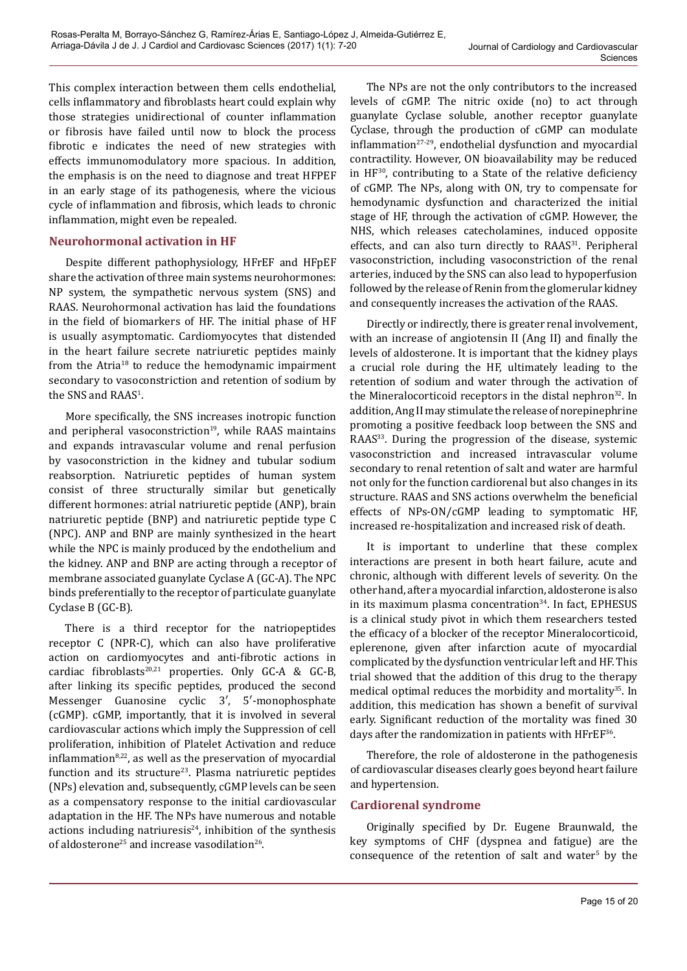This complex interaction between them cells endothelial, cells inflammatory and fibroblasts heart could explain why those strategies unidirectional of counter inflammation or fibrosis have failed until now to block the process fibrotic e indicates the need of new strategies with effects immunomodulatory more spacious. In addition, the emphasis is on the need to diagnose and treat HFPEF in an early stage of its pathogenesis, where the vicious cycle of inflammation and fibrosis, which leads to chronic inflammation, might even be repealed.

### **Neurohormonal activation in HF**

Despite different pathophysiology, HFrEF and HFpEF share the activation of three main systems neurohormones: NP system, the sympathetic nervous system (SNS) and RAAS. Neurohormonal activation has laid the foundations in the field of biomarkers of HF. The initial phase of HF is usually asymptomatic. Cardiomyocytes that distended in the heart failure secrete natriuretic peptides mainly from the Atria<sup>18</sup> to reduce the hemodynamic impairment secondary to vasoconstriction and retention of sodium by the SNS and RAAS<sup>1</sup>.

More specifically, the SNS increases inotropic function and peripheral vasoconstriction $19$ , while RAAS maintains and expands intravascular volume and renal perfusion by vasoconstriction in the kidney and tubular sodium reabsorption. Natriuretic peptides of human system consist of three structurally similar but genetically different hormones: atrial natriuretic peptide (ANP), brain natriuretic peptide (BNP) and natriuretic peptide type C (NPC). ANP and BNP are mainly synthesized in the heart while the NPC is mainly produced by the endothelium and the kidney. ANP and BNP are acting through a receptor of membrane associated guanylate Cyclase A (GC-A). The NPC binds preferentially to the receptor of particulate guanylate Cyclase B (GC-B).

There is a third receptor for the natriopeptides receptor C (NPR-C), which can also have proliferative action on cardiomyocytes and anti-fibrotic actions in cardiac fibroblasts<sup>20,21</sup> properties. Only GC-A & GC-B, after linking its specific peptides, produced the second Messenger Guanosine cyclic 3′, 5′-monophosphate (cGMP). cGMP, importantly, that it is involved in several cardiovascular actions which imply the Suppression of cell proliferation, inhibition of Platelet Activation and reduce inflammation $8,22$ , as well as the preservation of myocardial function and its structure<sup>23</sup>. Plasma natriuretic peptides (NPs) elevation and, subsequently, cGMP levels can be seen as a compensatory response to the initial cardiovascular adaptation in the HF. The NPs have numerous and notable actions including natriuresis $24$ , inhibition of the synthesis of aldosterone<sup>25</sup> and increase vasodilation<sup>26</sup>.

The NPs are not the only contributors to the increased levels of cGMP. The nitric oxide (no) to act through guanylate Cyclase soluble, another receptor guanylate Cyclase, through the production of cGMP can modulate inflammation<sup>27-29</sup>, endothelial dysfunction and myocardial contractility. However, ON bioavailability may be reduced in  $HF^{30}$ , contributing to a State of the relative deficiency of cGMP. The NPs, along with ON, try to compensate for hemodynamic dysfunction and characterized the initial stage of HF, through the activation of cGMP. However, the NHS, which releases catecholamines, induced opposite effects, and can also turn directly to RAAS<sup>31</sup>. Peripheral vasoconstriction, including vasoconstriction of the renal arteries, induced by the SNS can also lead to hypoperfusion followed by the release of Renin from the glomerular kidney and consequently increases the activation of the RAAS.

Directly or indirectly, there is greater renal involvement, with an increase of angiotensin II (Ang II) and finally the levels of aldosterone. It is important that the kidney plays a crucial role during the HF, ultimately leading to the retention of sodium and water through the activation of the Mineralocorticoid receptors in the distal nephron<sup>32</sup>. In addition, Ang II may stimulate the release of norepinephrine promoting a positive feedback loop between the SNS and RAAS<sup>33</sup>. During the progression of the disease, systemic vasoconstriction and increased intravascular volume secondary to renal retention of salt and water are harmful not only for the function cardiorenal but also changes in its structure. RAAS and SNS actions overwhelm the beneficial effects of NPs-ON/cGMP leading to symptomatic HF, increased re-hospitalization and increased risk of death.

It is important to underline that these complex interactions are present in both heart failure, acute and chronic, although with different levels of severity. On the other hand, after a myocardial infarction, aldosterone is also in its maximum plasma concentration<sup>34</sup>. In fact, EPHESUS is a clinical study pivot in which them researchers tested the efficacy of a blocker of the receptor Mineralocorticoid, eplerenone, given after infarction acute of myocardial complicated by the dysfunction ventricular left and HF. This trial showed that the addition of this drug to the therapy medical optimal reduces the morbidity and mortality<sup>35</sup>. In addition, this medication has shown a benefit of survival early. Significant reduction of the mortality was fined 30 days after the randomization in patients with HFrEF<sup>36</sup>.

Therefore, the role of aldosterone in the pathogenesis of cardiovascular diseases clearly goes beyond heart failure and hypertension.

# **Cardiorenal syndrome**

Originally specified by Dr. Eugene Braunwald, the key symptoms of CHF (dyspnea and fatigue) are the  $consequence$  of the retention of salt and water $5$  by the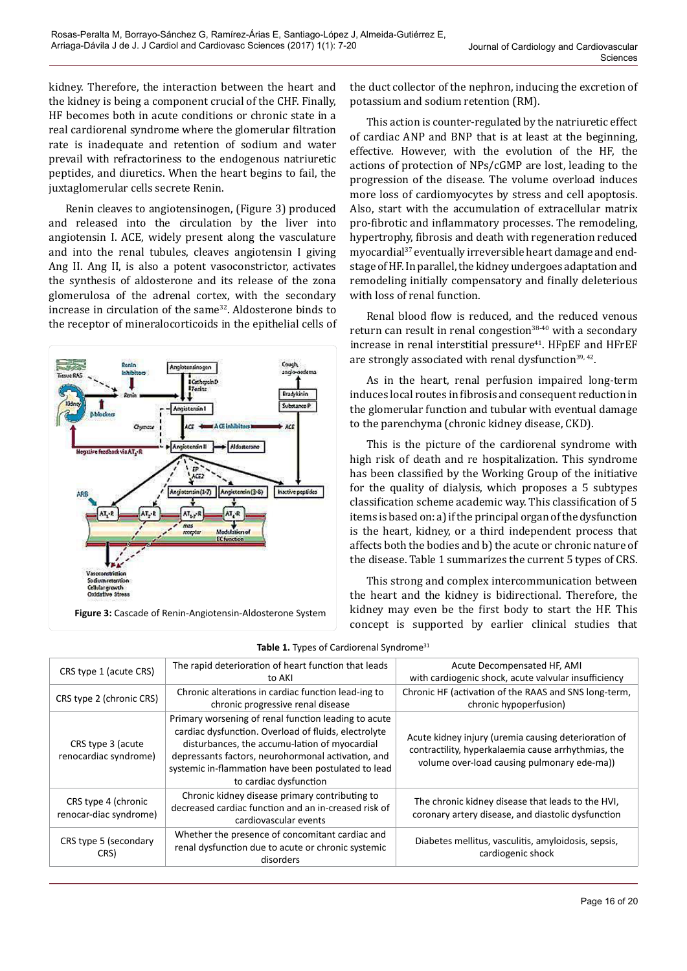kidney. Therefore, the interaction between the heart and the kidney is being a component crucial of the CHF. Finally, HF becomes both in acute conditions or chronic state in a real cardiorenal syndrome where the glomerular filtration rate is inadequate and retention of sodium and water prevail with refractoriness to the endogenous natriuretic peptides, and diuretics. When the heart begins to fail, the juxtaglomerular cells secrete Renin.

Renin cleaves to angiotensinogen, (Figure 3) produced and released into the circulation by the liver into angiotensin I. ACE, widely present along the vasculature and into the renal tubules, cleaves angiotensin I giving Ang II. Ang II, is also a potent vasoconstrictor, activates the synthesis of aldosterone and its release of the zona glomerulosa of the adrenal cortex, with the secondary increase in circulation of the same<sup>32</sup>. Aldosterone binds to the receptor of mineralocorticoids in the epithelial cells of



the duct collector of the nephron, inducing the excretion of potassium and sodium retention (RM).

This action is counter-regulated by the natriuretic effect of cardiac ANP and BNP that is at least at the beginning, effective. However, with the evolution of the HF, the actions of protection of NPs/cGMP are lost, leading to the progression of the disease. The volume overload induces more loss of cardiomyocytes by stress and cell apoptosis. Also, start with the accumulation of extracellular matrix pro-fibrotic and inflammatory processes. The remodeling, hypertrophy, fibrosis and death with regeneration reduced myocardial37 eventually irreversible heart damage and endstage of HF. In parallel, the kidney undergoes adaptation and remodeling initially compensatory and finally deleterious with loss of renal function.

Renal blood flow is reduced, and the reduced venous return can result in renal congestion $38-40$  with a secondary increase in renal interstitial pressure $41$ . HFpEF and HFrEF are strongly associated with renal dysfunction<sup>39, 42</sup>.

As in the heart, renal perfusion impaired long-term induces local routes in fibrosis and consequent reduction in the glomerular function and tubular with eventual damage to the parenchyma (chronic kidney disease, CKD).

This is the picture of the cardiorenal syndrome with high risk of death and re hospitalization. This syndrome has been classified by the Working Group of the initiative for the quality of dialysis, which proposes a 5 subtypes classification scheme academic way. This classification of 5 items is based on: a) if the principal organ of the dysfunction is the heart, kidney, or a third independent process that affects both the bodies and b) the acute or chronic nature of the disease. Table 1 summarizes the current 5 types of CRS.

This strong and complex intercommunication between the heart and the kidney is bidirectional. Therefore, the kidney may even be the first body to start the HF. This concept is supported by earlier clinical studies that

| CRS type 1 (acute CRS)                        | The rapid deterioration of heart function that leads<br>to AKI                                                                                                                                                                                                                                       | Acute Decompensated HF, AMI<br>with cardiogenic shock, acute valvular insufficiency                                                                        |
|-----------------------------------------------|------------------------------------------------------------------------------------------------------------------------------------------------------------------------------------------------------------------------------------------------------------------------------------------------------|------------------------------------------------------------------------------------------------------------------------------------------------------------|
| CRS type 2 (chronic CRS)                      | Chronic alterations in cardiac function lead-ing to<br>chronic progressive renal disease                                                                                                                                                                                                             | Chronic HF (activation of the RAAS and SNS long-term,<br>chronic hypoperfusion)                                                                            |
| CRS type 3 (acute)<br>renocardiac syndrome)   | Primary worsening of renal function leading to acute<br>cardiac dysfunction. Overload of fluids, electrolyte<br>disturbances, the accumu-lation of myocardial<br>depressants factors, neurohormonal activation, and<br>systemic in-flammation have been postulated to lead<br>to cardiac dysfunction | Acute kidney injury (uremia causing deterioration of<br>contractility, hyperkalaemia cause arrhythmias, the<br>volume over-load causing pulmonary ede-ma)) |
| CRS type 4 (chronic<br>renocar-diac syndrome) | Chronic kidney disease primary contributing to<br>decreased cardiac function and an in-creased risk of<br>cardiovascular events                                                                                                                                                                      | The chronic kidney disease that leads to the HVI,<br>coronary artery disease, and diastolic dysfunction                                                    |
| CRS type 5 (secondary<br>CRS)                 | Whether the presence of concomitant cardiac and<br>renal dysfunction due to acute or chronic systemic<br>disorders                                                                                                                                                                                   | Diabetes mellitus, vasculitis, amyloidosis, sepsis,<br>cardiogenic shock                                                                                   |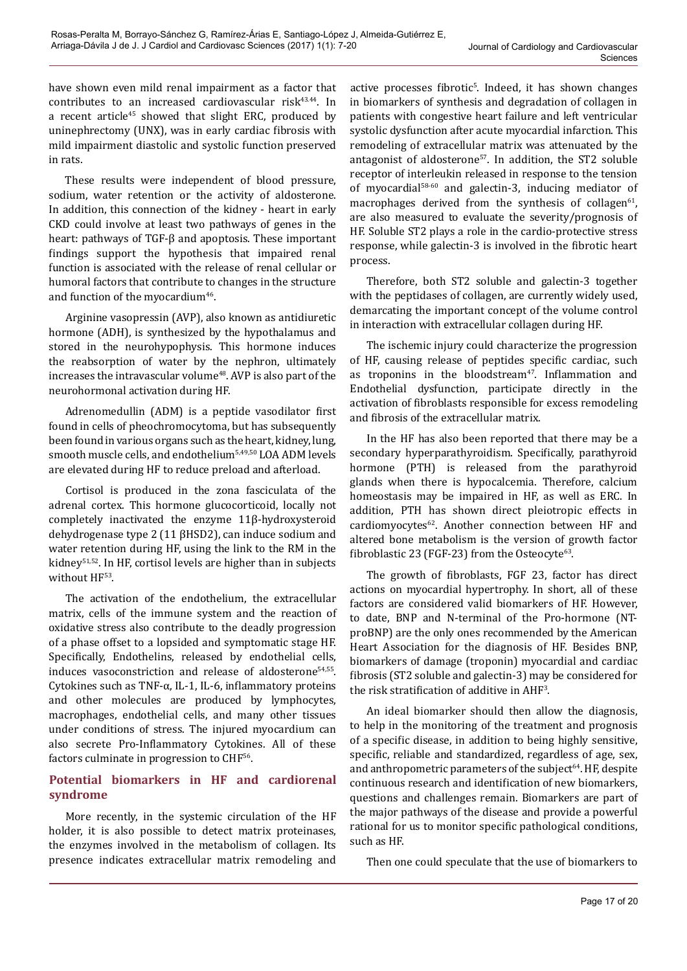have shown even mild renal impairment as a factor that contributes to an increased cardiovascular risk<sup>43.44</sup>. In a recent article<sup>45</sup> showed that slight ERC, produced by uninephrectomy (UNX), was in early cardiac fibrosis with mild impairment diastolic and systolic function preserved in rats.

These results were independent of blood pressure, sodium, water retention or the activity of aldosterone. In addition, this connection of the kidney - heart in early CKD could involve at least two pathways of genes in the heart: pathways of TGF-β and apoptosis. These important findings support the hypothesis that impaired renal function is associated with the release of renal cellular or humoral factors that contribute to changes in the structure and function of the myocardium<sup>46</sup>.

Arginine vasopressin (AVP), also known as antidiuretic hormone (ADH), is synthesized by the hypothalamus and stored in the neurohypophysis. This hormone induces the reabsorption of water by the nephron, ultimately increases the intravascular volume<sup>48</sup>. AVP is also part of the neurohormonal activation during HF.

Adrenomedullin (ADM) is a peptide vasodilator first found in cells of pheochromocytoma, but has subsequently been found in various organs such as the heart, kidney, lung, smooth muscle cells, and endothelium5,49,50 LOA ADM levels are elevated during HF to reduce preload and afterload.

Cortisol is produced in the zona fasciculata of the adrenal cortex. This hormone glucocorticoid, locally not completely inactivated the enzyme 11β-hydroxysteroid dehydrogenase type 2 (11 βHSD2), can induce sodium and water retention during HF, using the link to the RM in the kidney<sup>51,52</sup>. In HF, cortisol levels are higher than in subjects without HF53.

The activation of the endothelium, the extracellular matrix, cells of the immune system and the reaction of oxidative stress also contribute to the deadly progression of a phase offset to a lopsided and symptomatic stage HF. Specifically, Endothelins, released by endothelial cells, induces vasoconstriction and release of aldosterone<sup>54,55</sup>. Cytokines such as TNF-α, IL-1, IL-6, inflammatory proteins and other molecules are produced by lymphocytes, macrophages, endothelial cells, and many other tissues under conditions of stress. The injured myocardium can also secrete Pro-Inflammatory Cytokines. All of these factors culminate in progression to CHF56.

### **Potential biomarkers in HF and cardiorenal syndrome**

More recently, in the systemic circulation of the HF holder, it is also possible to detect matrix proteinases, the enzymes involved in the metabolism of collagen. Its presence indicates extracellular matrix remodeling and

active processes fibrotic<sup>s</sup>. Indeed, it has shown changes in biomarkers of synthesis and degradation of collagen in patients with congestive heart failure and left ventricular systolic dysfunction after acute myocardial infarction. This remodeling of extracellular matrix was attenuated by the antagonist of aldosterone<sup>57</sup>. In addition, the ST2 soluble receptor of interleukin released in response to the tension of myocardial58-60 and galectin-3, inducing mediator of macrophages derived from the synthesis of collagen $61$ , are also measured to evaluate the severity/prognosis of HF. Soluble ST2 plays a role in the cardio-protective stress response, while galectin-3 is involved in the fibrotic heart process.

Therefore, both ST2 soluble and galectin-3 together with the peptidases of collagen, are currently widely used, demarcating the important concept of the volume control in interaction with extracellular collagen during HF.

The ischemic injury could characterize the progression of HF, causing release of peptides specific cardiac, such as troponins in the bloodstream<sup>47</sup>. Inflammation and Endothelial dysfunction, participate directly in the activation of fibroblasts responsible for excess remodeling and fibrosis of the extracellular matrix.

In the HF has also been reported that there may be a secondary hyperparathyroidism. Specifically, parathyroid hormone (PTH) is released from the parathyroid glands when there is hypocalcemia. Therefore, calcium homeostasis may be impaired in HF, as well as ERC. In addition, PTH has shown direct pleiotropic effects in cardiomyocytes<sup>62</sup>. Another connection between HF and altered bone metabolism is the version of growth factor fibroblastic 23 (FGF-23) from the Osteocyte $63$ .

The growth of fibroblasts, FGF 23, factor has direct actions on myocardial hypertrophy. In short, all of these factors are considered valid biomarkers of HF. However, to date, BNP and N-terminal of the Pro-hormone (NTproBNP) are the only ones recommended by the American Heart Association for the diagnosis of HF. Besides BNP, biomarkers of damage (troponin) myocardial and cardiac fibrosis (ST2 soluble and galectin-3) may be considered for the risk stratification of additive in  $\rm{AHF^3}.$ 

An ideal biomarker should then allow the diagnosis, to help in the monitoring of the treatment and prognosis of a specific disease, in addition to being highly sensitive, specific, reliable and standardized, regardless of age, sex, and anthropometric parameters of the subject<sup>64</sup>. HF, despite continuous research and identification of new biomarkers, questions and challenges remain. Biomarkers are part of the major pathways of the disease and provide a powerful rational for us to monitor specific pathological conditions, such as HF.

Then one could speculate that the use of biomarkers to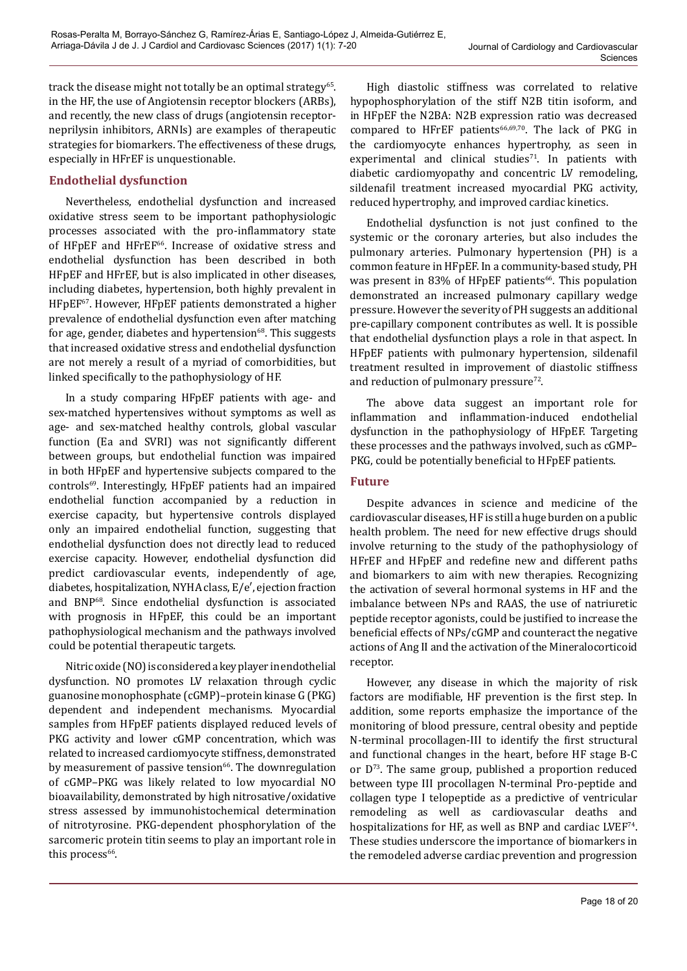track the disease might not totally be an optimal strategy<sup>65</sup>. in the HF, the use of Angiotensin receptor blockers (ARBs), and recently, the new class of drugs (angiotensin receptorneprilysin inhibitors, ARNIs) are examples of therapeutic strategies for biomarkers. The effectiveness of these drugs, especially in HFrEF is unquestionable.

### **Endothelial dysfunction**

Nevertheless, endothelial dysfunction and increased oxidative stress seem to be important pathophysiologic processes associated with the pro-inflammatory state of HFpEF and HFrEF<sup>66</sup>. Increase of oxidative stress and endothelial dysfunction has been described in both HFpEF and HFrEF, but is also implicated in other diseases, including diabetes, hypertension, both highly prevalent in HFpEF67. However, HFpEF patients demonstrated a higher prevalence of endothelial dysfunction even after matching for age, gender, diabetes and hypertension $68$ . This suggests that increased oxidative stress and endothelial dysfunction are not merely a result of a myriad of comorbidities, but linked specifically to the pathophysiology of HF.

In a study comparing HFpEF patients with age- and sex-matched hypertensives without symptoms as well as age- and sex-matched healthy controls, global vascular function (Ea and SVRI) was not significantly different between groups, but endothelial function was impaired in both HFpEF and hypertensive subjects compared to the controls<sup>69</sup>. Interestingly, HFpEF patients had an impaired endothelial function accompanied by a reduction in exercise capacity, but hypertensive controls displayed only an impaired endothelial function, suggesting that endothelial dysfunction does not directly lead to reduced exercise capacity. However, endothelial dysfunction did predict cardiovascular events, independently of age, diabetes, hospitalization, NYHA class, E/e′, ejection fraction and BNP68. Since endothelial dysfunction is associated with prognosis in HFpEF, this could be an important pathophysiological mechanism and the pathways involved could be potential therapeutic targets.

Nitric oxide (NO) is considered a key player in endothelial dysfunction. NO promotes LV relaxation through cyclic guanosine monophosphate (cGMP)–protein kinase G (PKG) dependent and independent mechanisms. Myocardial samples from HFpEF patients displayed reduced levels of PKG activity and lower cGMP concentration, which was related to increased cardiomyocyte stiffness, demonstrated by measurement of passive tension<sup>66</sup>. The downregulation of cGMP–PKG was likely related to low myocardial NO bioavailability, demonstrated by high nitrosative/oxidative stress assessed by immunohistochemical determination of nitrotyrosine. PKG-dependent phosphorylation of the sarcomeric protein titin seems to play an important role in this process<sup>66</sup>.

High diastolic stiffness was correlated to relative hypophosphorylation of the stiff N2B titin isoform, and in HFpEF the N2BA: N2B expression ratio was decreased compared to HFrEF patients<sup>66,69,70</sup>. The lack of PKG in the cardiomyocyte enhances hypertrophy, as seen in experimental and clinical studies<sup>71</sup>. In patients with diabetic cardiomyopathy and concentric LV remodeling, sildenafil treatment increased myocardial PKG activity, reduced hypertrophy, and improved cardiac kinetics.

Endothelial dysfunction is not just confined to the systemic or the coronary arteries, but also includes the pulmonary arteries. Pulmonary hypertension (PH) is a common feature in HFpEF. In a community-based study, PH was present in 83% of HFpEF patients<sup>66</sup>. This population demonstrated an increased pulmonary capillary wedge pressure. However the severity of PH suggests an additional pre-capillary component contributes as well. It is possible that endothelial dysfunction plays a role in that aspect. In HFpEF patients with pulmonary hypertension, sildenafil treatment resulted in improvement of diastolic stiffness and reduction of pulmonary pressure $72$ .

The above data suggest an important role for inflammation and inflammation-induced endothelial dysfunction in the pathophysiology of HFpEF. Targeting these processes and the pathways involved, such as cGMP– PKG, could be potentially beneficial to HFpEF patients.

### **Future**

Despite advances in science and medicine of the cardiovascular diseases, HF is still a huge burden on a public health problem. The need for new effective drugs should involve returning to the study of the pathophysiology of HFrEF and HFpEF and redefine new and different paths and biomarkers to aim with new therapies. Recognizing the activation of several hormonal systems in HF and the imbalance between NPs and RAAS, the use of natriuretic peptide receptor agonists, could be justified to increase the beneficial effects of NPs/cGMP and counteract the negative actions of Ang II and the activation of the Mineralocorticoid receptor.

However, any disease in which the majority of risk factors are modifiable, HF prevention is the first step. In addition, some reports emphasize the importance of the monitoring of blood pressure, central obesity and peptide N-terminal procollagen-III to identify the first structural and functional changes in the heart, before HF stage B-C or  $D^{73}$ . The same group, published a proportion reduced between type III procollagen N-terminal Pro-peptide and collagen type I telopeptide as a predictive of ventricular remodeling as well as cardiovascular deaths and hospitalizations for HF, as well as BNP and cardiac LVEF<sup>74</sup>. These studies underscore the importance of biomarkers in the remodeled adverse cardiac prevention and progression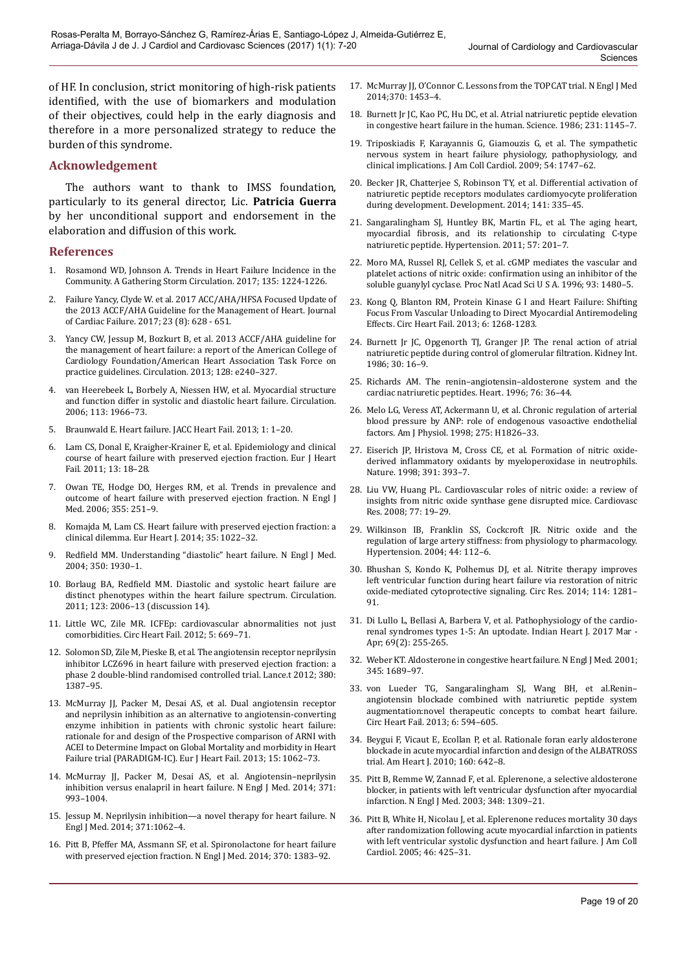of HF. In conclusion, strict monitoring of high-risk patients identified, with the use of biomarkers and modulation of their objectives, could help in the early diagnosis and therefore in a more personalized strategy to reduce the burden of this syndrome.

### **Acknowledgement**

The authors want to thank to IMSS foundation, particularly to its general director, Lic. **Patricia Guerra** by her unconditional support and endorsement in the elaboration and diffusion of this work.

#### **References**

- 1. Rosamond WD, Johnson A. Trends in Heart Failure Incidence in the Community. A Gathering Storm Circulation. 2017; 135: 1224-1226.
- 2. Failure Yancy, Clyde W. et al. 2017 ACC/AHA/HFSA Focused Update of the 2013 ACCF/AHA Guideline for the Management of Heart. Journal of Cardiac Failure. 2017; 23 (8): 628 - 651.
- 3. Yancy CW, Jessup M, Bozkurt B, et al. 2013 ACCF/AHA guideline for the management of heart failure: a report of the American College of Cardiology Foundation/American Heart Association Task Force on practice guidelines. Circulation. 2013; 128: e240–327.
- 4. van Heerebeek L, Borbely A, Niessen HW, et al. Myocardial structure and function differ in systolic and diastolic heart failure. Circulation. 2006; 113: 1966–73.
- 5. Braunwald E. Heart failure. JACC Heart Fail. 2013; 1: 1–20.
- 6. Lam CS, Donal E, Kraigher-Krainer E, et al. Epidemiology and clinical course of heart failure with preserved ejection fraction. Eur J Heart Fail. 2011; 13: 18–28.
- 7. Owan TE, Hodge DO, Herges RM, et al. Trends in prevalence and outcome of heart failure with preserved ejection fraction. N Engl J Med. 2006; 355: 251–9.
- 8. Komajda M, Lam CS. Heart failure with preserved ejection fraction: a clinical dilemma. Eur Heart J. 2014; 35: 1022–32.
- 9. Redfield MM. Understanding "diastolic" heart failure. N Engl J Med. 2004; 350: 1930–1.
- 10. Borlaug BA, Redfield MM. Diastolic and systolic heart failure are distinct phenotypes within the heart failure spectrum. Circulation. 2011; 123: 2006–13 (discussion 14).
- 11. Little WC, Zile MR. ICFEp: cardiovascular abnormalities not just comorbidities. Circ Heart Fail. 2012; 5: 669–71.
- 12. Solomon SD, Zile M, Pieske B, et al. The angiotensin receptor neprilysin inhibitor LCZ696 in heart failure with preserved ejection fraction: a phase 2 double-blind randomised controlled trial. Lance.t 2012; 380: 1387–95.
- 13. McMurray JJ, Packer M, Desai AS, et al. Dual angiotensin receptor and neprilysin inhibition as an alternative to angiotensin-converting enzyme inhibition in patients with chronic systolic heart failure: rationale for and design of the Prospective comparison of ARNI with ACEI to Determine Impact on Global Mortality and morbidity in Heart Failure trial (PARADIGM-IC). Eur J Heart Fail. 2013; 15: 1062–73.
- 14. McMurray JJ, Packer M, Desai AS, et al. Angiotensin–neprilysin inhibition versus enalapril in heart failure. N Engl J Med. 2014; 371: 993–1004.
- 15. Jessup M. Neprilysin inhibition—a novel therapy for heart failure. N Engl J Med. 2014; 371:1062–4.
- 16. Pitt B, Pfeffer MA, Assmann SF, et al. Spironolactone for heart failure with preserved ejection fraction. N Engl J Med. 2014; 370: 1383–92.
- 17. McMurray JJ, O'Connor C. Lessons from the TOPCAT trial. N Engl J Med 2014;370: 1453–4.
- 18. Burnett Jr JC, Kao PC, Hu DC, et al. Atrial natriuretic peptide elevation in congestive heart failure in the human. Science. 1986; 231: 1145–7.
- 19. Triposkiadis F, Karayannis G, Giamouzis G, et al. The sympathetic nervous system in heart failure physiology, pathophysiology, and clinical implications. J Am Coll Cardiol. 2009; 54: 1747–62.
- 20. Becker JR, Chatterjee S, Robinson TY, et al. Differential activation of natriuretic peptide receptors modulates cardiomyocyte proliferation during development. Development. 2014; 141: 335–45.
- 21. Sangaralingham SJ, Huntley BK, Martin FL, et al. The aging heart, myocardial fibrosis, and its relationship to circulating C-type natriuretic peptide. Hypertension. 2011; 57: 201–7.
- 22. Moro MA, Russel RJ, Cellek S, et al. cGMP mediates the vascular and platelet actions of nitric oxide: confirmation using an inhibitor of the soluble guanylyl cyclase. Proc Natl Acad Sci U S A. 1996; 93: 1480–5.
- 23. Kong Q, Blanton RM, Protein Kinase G I and Heart Failure: Shifting Focus From Vascular Unloading to Direct Myocardial Antiremodeling Effects. Circ Heart Fail. 2013; 6: 1268-1283.
- 24. Burnett Jr JC, Opgenorth TJ, Granger JP. The renal action of atrial natriuretic peptide during control of glomerular filtration. Kidney Int. 1986; 30: 16–9.
- 25. Richards AM. The renin–angiotensin–aldosterone system and the cardiac natriuretic peptides. Heart. 1996; 76: 36–44.
- 26. Melo LG, Veress AT, Ackermann U, et al. Chronic regulation of arterial blood pressure by ANP: role of endogenous vasoactive endothelial factors. Am J Physiol. 1998; 275: H1826–33.
- 27. Eiserich JP, Hristova M, Cross CE, et al. Formation of nitric oxidederived inflammatory oxidants by myeloperoxidase in neutrophils. Nature. 1998; 391: 393–7.
- 28. Liu VW, Huang PL. Cardiovascular roles of nitric oxide: a review of insights from nitric oxide synthase gene disrupted mice. Cardiovasc Res. 2008; 77: 19–29.
- 29. Wilkinson IB, Franklin SS, Cockcroft JR. Nitric oxide and the regulation of large artery stiffness: from physiology to pharmacology. Hypertension. 2004; 44: 112–6.
- 30. Bhushan S, Kondo K, Polhemus DJ, et al. Nitrite therapy improves left ventricular function during heart failure via restoration of nitric oxide-mediated cytoprotective signaling. Circ Res. 2014; 114: 1281– 91.
- 31. Di Lullo L, Bellasi A, Barbera V, et al. Pathophysiology of the cardiorenal syndromes types 1-5: An uptodate. Indian Heart J. 2017 Mar - Apr; 69(2): 255-265.
- 32. Weber KT. Aldosterone in congestive heart failure. N Engl J Med. 2001; 345: 1689–97.
- 33. von Lueder TG, Sangaralingham SJ, Wang BH, et al.Renin– angiotensin blockade combined with natriuretic peptide system augmentation:novel therapeutic concepts to combat heart failure. Circ Heart Fail. 2013; 6: 594–605.
- 34. Beygui F, Vicaut E, Ecollan P, et al. Rationale foran early aldosterone blockade in acute myocardial infarction and design of the ALBATROSS trial. Am Heart J. 2010; 160: 642–8.
- 35. Pitt B, Remme W, Zannad F, et al. Eplerenone, a selective aldosterone blocker, in patients with left ventricular dysfunction after myocardial infarction. N Engl J Med. 2003; 348: 1309–21.
- 36. Pitt B, White H, Nicolau J, et al. Eplerenone reduces mortality 30 days after randomization following acute myocardial infarction in patients with left ventricular systolic dysfunction and heart failure. J Am Coll Cardiol. 2005; 46: 425–31.